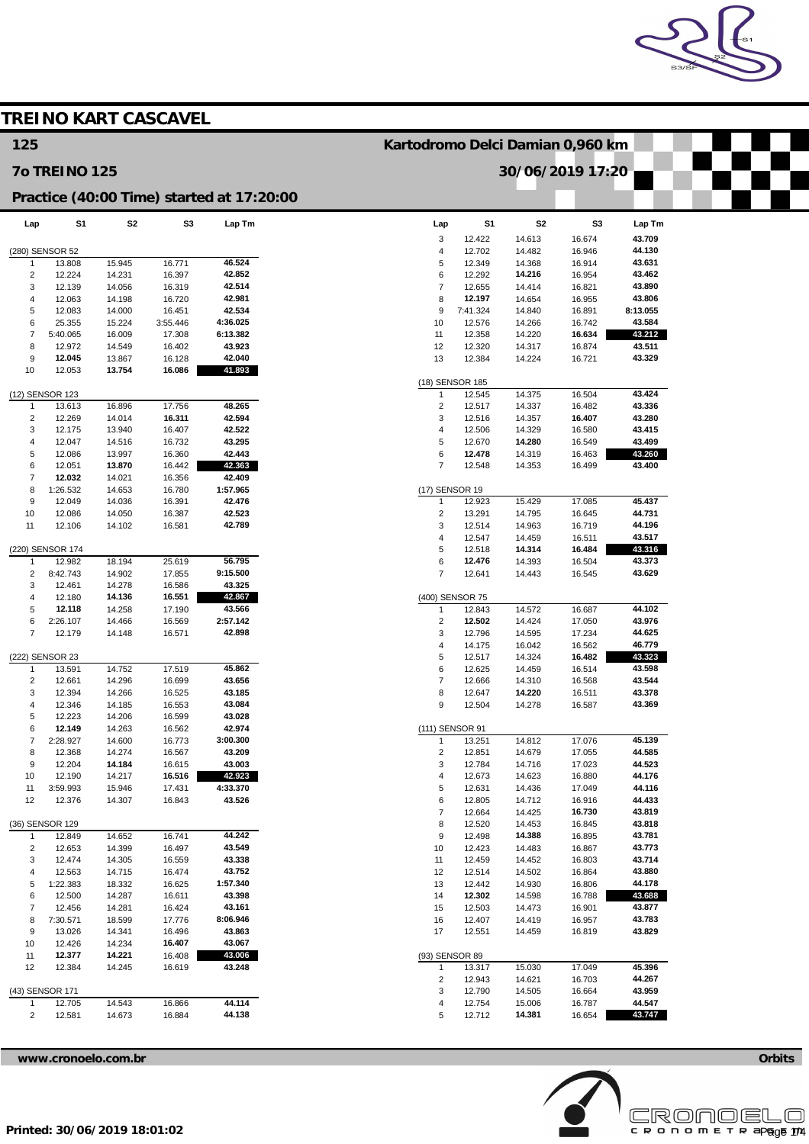

|                         |                           |                  | <b>TREINO KART CASCAVEL</b> |                                           |                                  |                  |                  |                  |                  |  |
|-------------------------|---------------------------|------------------|-----------------------------|-------------------------------------------|----------------------------------|------------------|------------------|------------------|------------------|--|
| 125                     |                           |                  |                             |                                           | Kartodromo Delci Damian 0,960 km |                  |                  |                  |                  |  |
|                         | <b>70 TREINO 125</b>      |                  |                             |                                           |                                  |                  |                  | 30/06/2019 17:20 |                  |  |
|                         |                           |                  |                             | Practice (40:00 Time) started at 17:20:00 |                                  |                  |                  |                  |                  |  |
| Lap                     | S1                        | S <sub>2</sub>   | S <sub>3</sub>              | Lap Tm                                    | Lap                              | S1               | S <sub>2</sub>   | S <sub>3</sub>   | Lap Tm           |  |
|                         |                           |                  |                             |                                           | 3                                | 12.422           | 14.613           | 16.674           | 43.709           |  |
| -1                      | (280) SENSOR 52<br>13.808 | 15.945           | 16.771                      | 46.524                                    | $\overline{4}$<br>5              | 12.702<br>12.349 | 14.482<br>14.368 | 16.946<br>16.914 | 44.130<br>43.631 |  |
| $\overline{\mathbf{c}}$ | 12.224                    | 14.231           | 16.397                      | 42.852                                    | 6                                | 12.292           | 14.216           | 16.954           | 43.462           |  |
| 3                       | 12.139                    | 14.056           | 16.319                      | 42.514                                    | $\overline{7}$                   | 12.655           | 14.414           | 16.821           | 43.890           |  |
| $\overline{4}$          | 12.063                    | 14.198           | 16.720                      | 42.981                                    | 8                                | 12.197           | 14.654           | 16.955           | 43.806           |  |
| 5                       | 12.083                    | 14.000           | 16.451                      | 42.534                                    | 9                                | 7:41.324         | 14.840           | 16.891           | 8:13.055         |  |
| 6                       | 25.355                    | 15.224           | 3:55.446                    | 4:36.025                                  | 10                               | 12.576           | 14.266           | 16.742           | 43.584           |  |
| $\overline{7}$<br>8     | 5:40.065<br>12.972        | 16.009<br>14.549 | 17.308<br>16.402            | 6:13.382<br>43.923                        | 11<br>12                         | 12.358<br>12.320 | 14.220<br>14.317 | 16.634<br>16.874 | 43.212<br>43.511 |  |
| 9                       | 12.045                    | 13.867           | 16.128                      | 42.040                                    | 13                               | 12.384           | 14.224           | 16.721           | 43.329           |  |
| 10                      | 12.053                    | 13.754           | 16.086                      | 41.893                                    |                                  |                  |                  |                  |                  |  |
|                         |                           |                  |                             |                                           | (18) SENSOR 185                  |                  |                  |                  |                  |  |
|                         | (12) SENSOR 123           |                  |                             |                                           | $\mathbf{1}$                     | 12.545           | 14.375           | 16.504           | 43.424           |  |
| -1                      | 13.613                    | 16.896           | 17.756                      | 48.265                                    | $\sqrt{2}$                       | 12.517           | 14.337           | 16.482           | 43.336           |  |
| 2<br>3                  | 12.269<br>12.175          | 14.014<br>13.940 | 16.311<br>16.407            | 42.594<br>42.522                          | 3<br>$\overline{4}$              | 12.516<br>12.506 | 14.357<br>14.329 | 16.407<br>16.580 | 43.280<br>43.415 |  |
| $\overline{4}$          | 12.047                    | 14.516           | 16.732                      | 43.295                                    | $\overline{5}$                   | 12.670           | 14.280           | 16.549           | 43.499           |  |
| 5                       | 12.086                    | 13.997           | 16.360                      | 42.443                                    | 6                                | 12.478           | 14.319           | 16.463           | 43.260           |  |
| 6                       | 12.051                    | 13.870           | 16.442                      | 42.363                                    | $\overline{7}$                   | 12.548           | 14.353           | 16.499           | 43.400           |  |
| $\overline{7}$          | 12.032                    | 14.021           | 16.356                      | 42.409                                    |                                  |                  |                  |                  |                  |  |
| 8                       | 1:26.532                  | 14.653           | 16.780                      | 1:57.965                                  | (17) SENSOR 19                   |                  |                  |                  |                  |  |
| 9                       | 12.049                    | 14.036           | 16.391                      | 42.476                                    | $\mathbf{1}$                     | 12.923           | 15.429           | 17.085           | 45.437           |  |
| 10                      | 12.086                    | 14.050           | 16.387                      | 42.523                                    | $\overline{2}$                   | 13.291           | 14.795           | 16.645           | 44.731           |  |
| 11                      | 12.106                    | 14.102           | 16.581                      | 42.789                                    | 3<br>$\overline{4}$              | 12.514<br>12.547 | 14.963<br>14.459 | 16.719<br>16.511 | 44.196<br>43.517 |  |
|                         | (220) SENSOR 174          |                  |                             |                                           | 5                                | 12.518           | 14.314           | 16.484           | 43.316           |  |
| -1                      | 12.982                    | 18.194           | 25.619                      | 56.795                                    | 6                                | 12.476           | 14.393           | 16.504           | 43.373           |  |
| $\overline{c}$          | 8:42.743                  | 14.902           | 17.855                      | 9:15.500                                  | $\overline{7}$                   | 12.641           | 14.443           | 16.545           | 43.629           |  |
| 3                       | 12.461                    | 14.278           | 16.586                      | 43.325                                    |                                  |                  |                  |                  |                  |  |
| 4                       | 12.180                    | 14.136           | 16.551                      | 42.867                                    | (400) SENSOR 75                  |                  |                  |                  |                  |  |
| 5<br>6                  | 12.118<br>2:26.107        | 14.258<br>14.466 | 17.190<br>16.569            | 43.566<br>2:57.142                        | $\mathbf{1}$<br>$\overline{2}$   | 12.843<br>12.502 | 14.572<br>14.424 | 16.687<br>17.050 | 44.102<br>43.976 |  |
| $\overline{7}$          | 12.179                    | 14.148           | 16.571                      | 42.898                                    | 3                                | 12.796           | 14.595           | 17.234           | 44.625           |  |
|                         |                           |                  |                             |                                           | $\overline{4}$                   | 14.175           | 16.042           | 16.562           | 46.779           |  |
|                         | (222) SENSOR 23           |                  |                             |                                           | 5                                | 12.517           | 14.324           | 16.482           | 43.323           |  |
| $\overline{1}$          | 13.591                    | 14.752           | 17.519                      | 45.862                                    | 6                                | 12.625           | 14.459           | 16.514           | 43.598           |  |
| $\overline{2}$          | 12.661                    | 14.296           | 16.699                      | 43.656                                    | $\overline{7}$                   | 12.666           | 14.310           | 16.568           | 43.544           |  |
| 3                       | 12.394                    | 14.266           | 16.525                      | 43.185<br>43.084                          | 8<br>9                           | 12.647           | 14.220           | 16.511           | 43.378<br>43.369 |  |
| 4<br>5                  | 12.346<br>12.223          | 14.185<br>14.206 | 16.553<br>16.599            | 43.028                                    |                                  | 12.504           | 14.278           | 16.587           |                  |  |
| 6                       | 12.149                    | 14.263           | 16.562                      | 42.974                                    | (111) SENSOR 91                  |                  |                  |                  |                  |  |
| $\overline{7}$          | 2:28.927                  | 14.600           | 16.773                      | 3:00.300                                  | $\mathbf 1$                      | 13.251           | 14.812           | 17.076           | 45.139           |  |
| 8                       | 12.368                    | 14.274           | 16.567                      | 43.209                                    | $\overline{c}$                   | 12.851           | 14.679           | 17.055           | 44.585           |  |
| 9                       | 12.204                    | 14.184           | 16.615                      | 43.003                                    | 3                                | 12.784           | 14.716           | 17.023           | 44.523           |  |
| 10                      | 12.190                    | 14.217           | 16.516                      | 42.923                                    | $\overline{4}$                   | 12.673           | 14.623           | 16.880           | 44.176<br>44.116 |  |
| 11<br>12                | 3:59.993<br>12.376        | 15.946<br>14.307 | 17.431<br>16.843            | 4:33.370<br>43.526                        | $\sqrt{5}$<br>6                  | 12.631<br>12.805 | 14.436<br>14.712 | 17.049<br>16.916 | 44.433           |  |
|                         |                           |                  |                             |                                           | $\overline{7}$                   | 12.664           | 14.425           | 16.730           | 43.819           |  |
|                         | (36) SENSOR 129           |                  |                             |                                           | 8                                | 12.520           | 14.453           | 16.845           | 43.818           |  |
| $\overline{1}$          | 12.849                    | 14.652           | 16.741                      | 44.242                                    | $\boldsymbol{9}$                 | 12.498           | 14.388           | 16.895           | 43.781           |  |
| $\overline{\mathbf{c}}$ | 12.653                    | 14.399           | 16.497                      | 43.549                                    | 10                               | 12.423           | 14.483           | 16.867           | 43.773           |  |
| 3                       | 12.474                    | 14.305           | 16.559                      | 43.338                                    | 11                               | 12.459           | 14.452           | 16.803           | 43.714           |  |
| 4<br>5                  | 12.563<br>1:22.383        | 14.715<br>18.332 | 16.474<br>16.625            | 43.752<br>1:57.340                        | 12<br>13                         | 12.514<br>12.442 | 14.502<br>14.930 | 16.864<br>16.806 | 43.880<br>44.178 |  |
| 6                       | 12.500                    | 14.287           | 16.611                      | 43.398                                    | 14                               | 12.302           | 14.598           | 16.788           | 43.688           |  |
| $\overline{7}$          | 12.456                    | 14.281           | 16.424                      | 43.161                                    | 15                               | 12.503           | 14.473           | 16.901           | 43.877           |  |
| 8                       | 7:30.571                  | 18.599           | 17.776                      | 8:06.946                                  | 16                               | 12.407           | 14.419           | 16.957           | 43.783           |  |
| 9                       | 13.026                    | 14.341           | 16.496                      | 43.863                                    | 17                               | 12.551           | 14.459           | 16.819           | 43.829           |  |
| 10                      | 12.426                    | 14.234           | 16.407                      | 43.067                                    |                                  |                  |                  |                  |                  |  |
| 11                      | 12.377                    | 14.221           | 16.408                      | 43.006                                    | (93) SENSOR 89                   | 13.317           | 15.030           | 17.049           | 45.396           |  |
| 12                      | 12.384                    | 14.245           | 16.619                      | 43.248                                    | $\mathbf 1$<br>$\overline{c}$    | 12.943           | 14.621           | 16.703           | 44.267           |  |
|                         | (43) SENSOR 171           |                  |                             |                                           | 3                                | 12.790           | 14.505           | 16.664           | 43.959           |  |
| $\mathbf{1}$            | 12.705                    | 14.543           | 16.866                      | 44.114                                    | $\overline{4}$                   | 12.754           | 15.006           | 16.787           | 44.547           |  |
| $\overline{\mathbf{c}}$ | 12.581                    | 14.673           | 16.884                      | 44.138                                    | 5                                | 12.712           | 14.381           | 16.654           | 43.747           |  |

**[www.cronoelo.com.br](http://www.cronoelo.com.br) Orbits** 

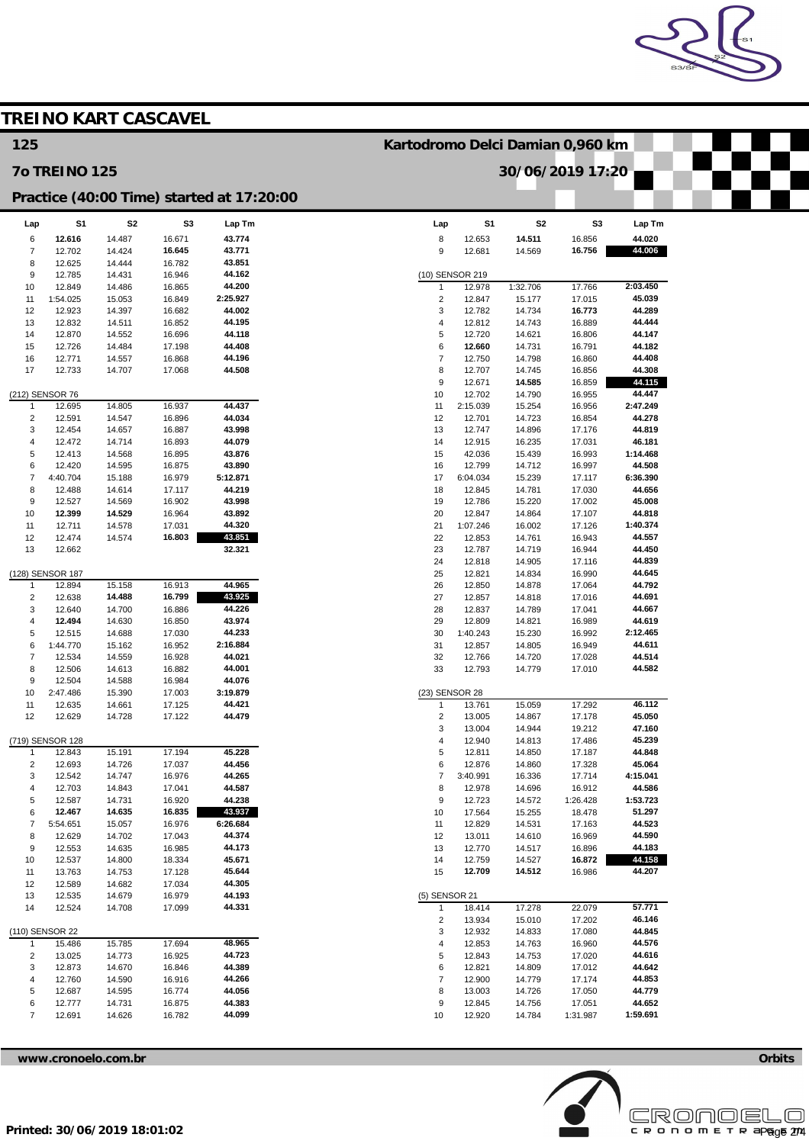

|                              |                      | <b>TREINO KART CASCAVEL</b> |                  |                                           |                                  |                    |                  |                  |                    |  |
|------------------------------|----------------------|-----------------------------|------------------|-------------------------------------------|----------------------------------|--------------------|------------------|------------------|--------------------|--|
| 125                          |                      |                             |                  |                                           | Kartodromo Delci Damian 0,960 km |                    |                  |                  |                    |  |
|                              | <b>70 TREINO 125</b> |                             |                  |                                           |                                  |                    |                  | 30/06/2019 17:20 |                    |  |
|                              |                      |                             |                  | Practice (40:00 Time) started at 17:20:00 |                                  |                    |                  |                  |                    |  |
| Lap                          | S <sub>1</sub>       | S <sub>2</sub>              | S3               | Lap Tm                                    | Lap                              | S <sub>1</sub>     | S <sub>2</sub>   | S <sub>3</sub>   | Lap Tm             |  |
| 6                            | 12.616               | 14.487                      | 16.671           | 43.774                                    | 8                                | 12.653             | 14.511           | 16.856           | 44.020             |  |
| 7<br>8                       | 12.702<br>12.625     | 14.424<br>14.444            | 16.645<br>16.782 | 43.771<br>43.851                          | 9                                | 12.681             | 14.569           | 16.756           | 44.006             |  |
| 9                            | 12.785               | 14.431                      | 16.946           | 44.162                                    |                                  | (10) SENSOR 219    |                  |                  |                    |  |
| 10                           | 12.849               | 14.486                      | 16.865           | 44.200                                    | 1                                | 12.978             | 1:32.706         | 17.766           | 2:03.450           |  |
| 11                           | 1:54.025             | 15.053                      | 16.849           | 2:25.927                                  | $\overline{2}$                   | 12.847             | 15.177           | 17.015           | 45.039             |  |
| 12                           | 12.923               | 14.397                      | 16.682           | 44.002                                    | 3                                | 12.782             | 14.734           | 16.773           | 44.289             |  |
| 13<br>14                     | 12.832<br>12.870     | 14.511<br>14.552            | 16.852<br>16.696 | 44.195<br>44.118                          | $\overline{4}$<br>5              | 12.812<br>12.720   | 14.743<br>14.621 | 16.889<br>16.806 | 44.444<br>44.147   |  |
| 15                           | 12.726               | 14.484                      | 17.198           | 44.408                                    | 6                                | 12.660             | 14.731           | 16.791           | 44.182             |  |
| 16                           | 12.771               | 14.557                      | 16.868           | 44.196                                    | $\overline{7}$                   | 12.750             | 14.798           | 16.860           | 44.408             |  |
| 17                           | 12.733               | 14.707                      | 17.068           | 44.508                                    | 8                                | 12.707             | 14.745           | 16.856           | 44.308             |  |
|                              |                      |                             |                  |                                           | 9                                | 12.671             | 14.585           | 16.859           | 44.115             |  |
|                              | (212) SENSOR 76      |                             |                  |                                           | 10                               | 12.702             | 14.790           | 16.955           | 44.447             |  |
| 1                            | 12.695               | 14.805                      | 16.937           | 44.437                                    | 11                               | 2:15.039           | 15.254           | 16.956           | 2:47.249           |  |
| $\overline{\mathbf{c}}$<br>3 | 12.591<br>12.454     | 14.547<br>14.657            | 16.896<br>16.887 | 44.034<br>43.998                          | 12<br>13                         | 12.701<br>12.747   | 14.723<br>14.896 | 16.854<br>17.176 | 44.278<br>44.819   |  |
| 4                            | 12.472               | 14.714                      | 16.893           | 44.079                                    | 14                               | 12.915             | 16.235           | 17.031           | 46.181             |  |
| 5                            | 12.413               | 14.568                      | 16.895           | 43.876                                    | 15                               | 42.036             | 15.439           | 16.993           | 1:14.468           |  |
| 6                            | 12.420               | 14.595                      | 16.875           | 43.890                                    | 16                               | 12.799             | 14.712           | 16.997           | 44.508             |  |
| $\overline{7}$               | 4:40.704             | 15.188                      | 16.979           | 5:12.871                                  | 17                               | 6:04.034           | 15.239           | 17.117           | 6:36.390           |  |
| 8                            | 12.488               | 14.614                      | 17.117           | 44.219                                    | 18                               | 12.845             | 14.781           | 17.030           | 44.656             |  |
| 9                            | 12.527<br>12.399     | 14.569<br>14.529            | 16.902           | 43.998<br>43.892                          | 19                               | 12.786             | 15.220           | 17.002           | 45.008<br>44.818   |  |
| 10<br>11                     | 12.711               | 14.578                      | 16.964<br>17.031 | 44.320                                    | 20<br>21                         | 12.847<br>1:07.246 | 14.864<br>16.002 | 17.107<br>17.126 | 1:40.374           |  |
| 12                           | 12.474               | 14.574                      | 16.803           | 43.851                                    | 22                               | 12.853             | 14.761           | 16.943           | 44.557             |  |
| 13                           | 12.662               |                             |                  | 32.321                                    | 23                               | 12.787             | 14.719           | 16.944           | 44.450             |  |
|                              |                      |                             |                  |                                           | 24                               | 12.818             | 14.905           | 17.116           | 44.839             |  |
|                              | (128) SENSOR 187     |                             |                  |                                           | 25                               | 12.821             | 14.834           | 16.990           | 44.645             |  |
| $\mathbf{1}$                 | 12.894               | 15.158                      | 16.913           | 44.965                                    | 26                               | 12.850             | 14.878           | 17.064           | 44.792             |  |
| $\overline{\mathbf{c}}$<br>3 | 12.638<br>12.640     | 14.488<br>14.700            | 16.799<br>16.886 | 43.925<br>44.226                          | 27<br>28                         | 12.857<br>12.837   | 14.818<br>14.789 | 17.016<br>17.041 | 44.691<br>44.667   |  |
| 4                            | 12.494               | 14.630                      | 16.850           | 43.974                                    | 29                               | 12.809             | 14.821           | 16.989           | 44.619             |  |
| 5                            | 12.515               | 14.688                      | 17.030           | 44.233                                    | 30                               | 1:40.243           | 15.230           | 16.992           | 2:12.465           |  |
| 6                            | 1:44.770             | 15.162                      | 16.952           | 2:16.884                                  | 31                               | 12.857             | 14.805           | 16.949           | 44.611             |  |
| $\overline{7}$               | 12.534               | 14.559                      | 16.928           | 44.021                                    | 32                               | 12.766             | 14.720           | 17.028           | 44.514             |  |
| 8                            | 12.506               | 14.613                      | 16.882           | 44.001                                    | 33                               | 12.793             | 14.779           | 17.010           | 44.582             |  |
| 9                            | 12.504               | 14.588                      | 16.984           | 44.076                                    |                                  |                    |                  |                  |                    |  |
| 10<br>11                     | 2:47.486<br>12.635   | 15.390<br>14.661            | 17.003<br>17.125 | 3:19.879<br>44.421                        | (23) SENSOR 28<br>$\mathbf{1}$   | 13.761             | 15.059           | 17.292           | 46.112             |  |
| 12                           | 12.629               | 14.728                      | 17.122           | 44.479                                    | $\sqrt{2}$                       | 13.005             | 14.867           | 17.178           | 45.050             |  |
|                              |                      |                             |                  |                                           | 3                                | 13.004             | 14.944           | 19.212           | 47.160             |  |
|                              | (719) SENSOR 128     |                             |                  |                                           | 4                                | 12.940             | 14.813           | 17.486           | 45.239             |  |
| $\mathbf{1}$                 | 12.843               | 15.191                      | 17.194           | 45.228                                    | 5                                | 12.811             | 14.850           | 17.187           | 44.848             |  |
| 2                            | 12.693               | 14.726                      | 17.037           | 44.456                                    | 6                                | 12.876             | 14.860           | 17.328           | 45.064             |  |
| 3<br>4                       | 12.542<br>12.703     | 14.747<br>14.843            | 16.976<br>17.041 | 44.265<br>44.587                          | $\overline{\mathcal{I}}$<br>8    | 3:40.991<br>12.978 | 16.336<br>14.696 | 17.714<br>16.912 | 4:15.041<br>44.586 |  |
| 5                            | 12.587               | 14.731                      | 16.920           | 44.238                                    | $\boldsymbol{9}$                 | 12.723             | 14.572           | 1:26.428         | 1:53.723           |  |
| 6                            | 12.467               | 14.635                      | 16.835           | 43.937                                    | 10                               | 17.564             | 15.255           | 18.478           | 51.297             |  |
| 7                            | 5:54.651             | 15.057                      | 16.976           | 6:26.684                                  | 11                               | 12.829             | 14.531           | 17.163           | 44.523             |  |
| 8                            | 12.629               | 14.702                      | 17.043           | 44.374                                    | 12                               | 13.011             | 14.610           | 16.969           | 44.590             |  |
| 9                            | 12.553               | 14.635                      | 16.985           | 44.173                                    | 13                               | 12.770             | 14.517           | 16.896           | 44.183             |  |
| 10                           | 12.537               | 14.800                      | 18.334           | 45.671<br>45.644                          | 14<br>15                         | 12.759<br>12.709   | 14.527<br>14.512 | 16.872           | 44.158<br>44.207   |  |
| 11<br>12                     | 13.763<br>12.589     | 14.753<br>14.682            | 17.128<br>17.034 | 44.305                                    |                                  |                    |                  | 16.986           |                    |  |
| 13                           | 12.535               | 14.679                      | 16.979           | 44.193                                    | (5) SENSOR 21                    |                    |                  |                  |                    |  |
| 14                           | 12.524               | 14.708                      | 17.099           | 44.331                                    | $\mathbf{1}$                     | 18.414             | 17.278           | 22.079           | 57.771             |  |
|                              |                      |                             |                  |                                           | $\overline{c}$                   | 13.934             | 15.010           | 17.202           | 46.146             |  |
|                              | (110) SENSOR 22      |                             |                  |                                           | 3                                | 12.932             | 14.833           | 17.080           | 44.845             |  |
| $\mathbf{1}$                 | 15.486               | 15.785                      | 17.694           | 48.965                                    | 4                                | 12.853             | 14.763           | 16.960           | 44.576             |  |
| $\overline{\mathbf{c}}$      | 13.025               | 14.773                      | 16.925           | 44.723                                    | 5                                | 12.843             | 14.753           | 17.020           | 44.616             |  |
| 3<br>4                       | 12.873<br>12.760     | 14.670<br>14.590            | 16.846<br>16.916 | 44.389<br>44.266                          | 6<br>$\overline{7}$              | 12.821<br>12.900   | 14.809<br>14.779 | 17.012<br>17.174 | 44.642<br>44.853   |  |
| 5                            | 12.687               | 14.595                      | 16.774           | 44.056                                    | 8                                | 13.003             | 14.726           | 17.050           | 44.779             |  |
| 6                            | 12.777               | 14.731                      | 16.875           | 44.383                                    | 9                                | 12.845             | 14.756           | 17.051           | 44.652             |  |
| $\overline{7}$               | 12.691               | 14.626                      | 16.782           | 44.099                                    | 10                               | 12.920             | 14.784           | 1:31.987         | 1:59.691           |  |



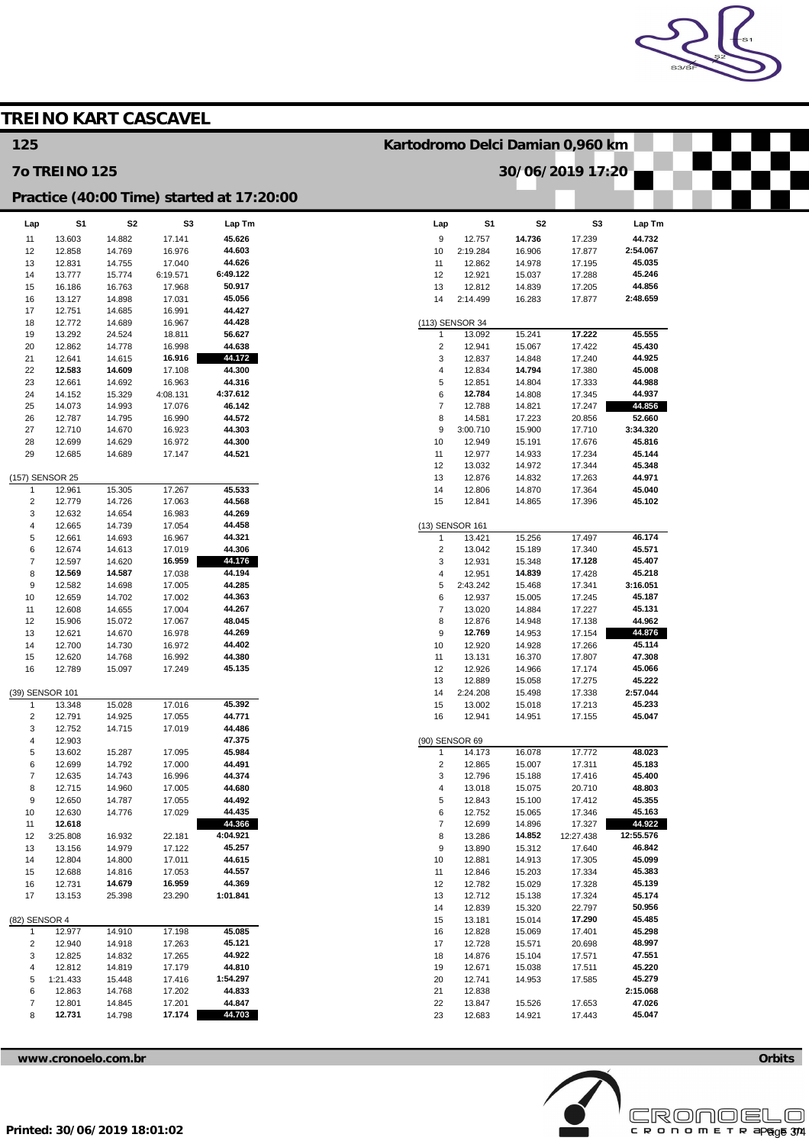

|                                           |                      |                  | <b>TREINO KART CASCAVEL</b> |                  |                           |                                  |                  |                  |                    |  |  |
|-------------------------------------------|----------------------|------------------|-----------------------------|------------------|---------------------------|----------------------------------|------------------|------------------|--------------------|--|--|
| 125                                       |                      |                  |                             |                  |                           | Kartodromo Delci Damian 0,960 km |                  |                  |                    |  |  |
|                                           | <b>70 TREINO 125</b> |                  |                             |                  |                           | 30/06/2019 17:20                 |                  |                  |                    |  |  |
| Practice (40:00 Time) started at 17:20:00 |                      |                  |                             |                  |                           |                                  |                  |                  |                    |  |  |
| Lap                                       | S <sub>1</sub>       | S <sub>2</sub>   | S <sub>3</sub>              | Lap Tm           | Lap                       | S <sub>1</sub>                   | S <sub>2</sub>   | S <sub>3</sub>   | Lap Tm             |  |  |
| 11                                        | 13.603               | 14.882           | 17.141                      | 45.626           | $\boldsymbol{9}$          | 12.757                           | 14.736           | 17.239           | 44.732             |  |  |
| 12                                        | 12.858               | 14.769           | 16.976                      | 44.603           | 10                        | 2:19.284                         | 16.906           | 17.877           | 2:54.067           |  |  |
| 13                                        | 12.831               | 14.755           | 17.040                      | 44.626           | 11                        | 12.862                           | 14.978           | 17.195           | 45.035             |  |  |
| 14                                        | 13.777               | 15.774           | 6:19.571                    | 6:49.122         | 12                        | 12.921                           | 15.037           | 17.288           | 45.246             |  |  |
| 15                                        | 16.186               | 16.763           | 17.968                      | 50.917           | 13                        | 12.812                           | 14.839           | 17.205           | 44.856             |  |  |
| 16<br>17                                  | 13.127<br>12.751     | 14.898<br>14.685 | 17.031<br>16.991            | 45.056<br>44.427 | 14                        | 2:14.499                         | 16.283           | 17.877           | 2:48.659           |  |  |
| 18                                        | 12.772               | 14.689           | 16.967                      | 44.428           |                           | (113) SENSOR 34                  |                  |                  |                    |  |  |
| 19                                        | 13.292               | 24.524           | 18.811                      | 56.627           | $\mathbf{1}$              | 13.092                           | 15.241           | 17.222           | 45.555             |  |  |
| 20                                        | 12.862               | 14.778           | 16.998                      | 44.638           | $\sqrt{2}$                | 12.941                           | 15.067           | 17.422           | 45.430             |  |  |
| 21                                        | 12.641               | 14.615           | 16.916                      | 44.172           | 3                         | 12.837                           | 14.848           | 17.240           | 44.925             |  |  |
| 22                                        | 12.583               | 14.609           | 17.108                      | 44.300           | 4                         | 12.834                           | 14.794           | 17.380           | 45.008             |  |  |
| 23                                        | 12.661               | 14.692           | 16.963                      | 44.316           | 5                         | 12.851                           | 14.804           | 17.333           | 44.988             |  |  |
| 24                                        | 14.152               | 15.329           | 4:08.131                    | 4:37.612         | 6                         | 12.784                           | 14.808           | 17.345           | 44.937             |  |  |
| 25                                        | 14.073               | 14.993           | 17.076                      | 46.142           | $\overline{\mathfrak{c}}$ | 12.788                           | 14.821           | 17.247           | 44.856             |  |  |
| 26                                        | 12.787               | 14.795           | 16.990                      | 44.572           | 8                         | 14.581                           | 17.223           | 20.856           | 52.660             |  |  |
| 27                                        | 12.710               | 14.670           | 16.923                      | 44.303<br>44.300 | 9                         | 3:00.710                         | 15.900           | 17.710           | 3:34.320<br>45.816 |  |  |
| 28<br>29                                  | 12.699<br>12.685     | 14.629<br>14.689 | 16.972<br>17.147            | 44.521           | 10<br>11                  | 12.949<br>12.977                 | 15.191<br>14.933 | 17.676<br>17.234 | 45.144             |  |  |
|                                           |                      |                  |                             |                  | 12                        | 13.032                           | 14.972           | 17.344           | 45.348             |  |  |
|                                           | (157) SENSOR 25      |                  |                             |                  | 13                        | 12.876                           | 14.832           | 17.263           | 44.971             |  |  |
| $\mathbf{1}$                              | 12.961               | 15.305           | 17.267                      | 45.533           | 14                        | 12.806                           | 14.870           | 17.364           | 45.040             |  |  |
| $\overline{2}$                            | 12.779               | 14.726           | 17.063                      | 44.568           | 15                        | 12.841                           | 14.865           | 17.396           | 45.102             |  |  |
| 3                                         | 12.632               | 14.654           | 16.983                      | 44.269           |                           |                                  |                  |                  |                    |  |  |
| 4                                         | 12.665               | 14.739           | 17.054                      | 44.458           |                           | (13) SENSOR 161                  |                  |                  |                    |  |  |
| 5                                         | 12.661               | 14.693           | 16.967                      | 44.321           | $\mathbf{1}$              | 13.421                           | 15.256           | 17.497           | 46.174             |  |  |
| 6                                         | 12.674               | 14.613           | 17.019                      | 44.306           | $\sqrt{2}$                | 13.042                           | 15.189           | 17.340           | 45.571             |  |  |
| $\overline{7}$<br>8                       | 12.597<br>12.569     | 14.620<br>14.587 | 16.959<br>17.038            | 44.176<br>44.194 | 3<br>4                    | 12.931<br>12.951                 | 15.348<br>14.839 | 17.128<br>17.428 | 45.407<br>45.218   |  |  |
| 9                                         | 12.582               | 14.698           | 17.005                      | 44.285           | 5                         | 2:43.242                         | 15.468           | 17.341           | 3:16.051           |  |  |
| 10                                        | 12.659               | 14.702           | 17.002                      | 44.363           | 6                         | 12.937                           | 15.005           | 17.245           | 45.187             |  |  |
| 11                                        | 12.608               | 14.655           | 17.004                      | 44.267           | $\overline{7}$            | 13.020                           | 14.884           | 17.227           | 45.131             |  |  |
| 12                                        | 15.906               | 15.072           | 17.067                      | 48.045           | 8                         | 12.876                           | 14.948           | 17.138           | 44.962             |  |  |
| 13                                        | 12.621               | 14.670           | 16.978                      | 44.269           | 9                         | 12.769                           | 14.953           | 17.154           | 44.876             |  |  |
| 14                                        | 12.700               | 14.730           | 16.972                      | 44.402           | 10                        | 12.920                           | 14.928           | 17.266           | 45.114             |  |  |
| 15                                        | 12.620               | 14.768           | 16.992                      | 44.380           | 11                        | 13.131                           | 16.370           | 17.807           | 47.308             |  |  |
| 16                                        | 12.789               | 15.097           | 17.249                      | 45.135           | 12                        | 12.926                           | 14.966           | 17.174           | 45.066             |  |  |
|                                           | (39) SENSOR 101      |                  |                             |                  | 13<br>14                  | 12.889<br>2:24.208               | 15.058<br>15.498 | 17.275<br>17.338 | 45.222<br>2:57.044 |  |  |
| $\mathbf{1}$                              | 13.348               | 15.028           | 17.016                      | 45.392           | 15                        | 13.002                           | 15.018           | 17.213           | 45.233             |  |  |
| $\overline{\mathbf{c}}$                   | 12.791               | 14.925           | 17.055                      | 44.771           | 16                        | 12.941                           | 14.951           | 17.155           | 45.047             |  |  |
| 3                                         | 12.752               | 14.715           | 17.019                      | 44.486           |                           |                                  |                  |                  |                    |  |  |
| 4                                         | 12.903               |                  |                             | 47.375           | (90) SENSOR 69            |                                  |                  |                  |                    |  |  |
| 5                                         | 13.602               | 15.287           | 17.095                      | 45.984           | $\mathbf{1}$              | 14.173                           | 16.078           | 17.772           | 48.023             |  |  |
| 6                                         | 12.699               | 14.792           | 17.000                      | 44.491           | $\sqrt{2}$                | 12.865                           | 15.007           | 17.311           | 45.183             |  |  |
| $\overline{7}$                            | 12.635               | 14.743           | 16.996                      | 44.374           | 3                         | 12.796                           | 15.188           | 17.416           | 45.400             |  |  |
| 8<br>9                                    | 12.715               | 14.960           | 17.005                      | 44.680<br>44.492 | 4<br>5                    | 13.018                           | 15.075           | 20.710           | 48.803<br>45.355   |  |  |
| 10                                        | 12.650<br>12.630     | 14.787<br>14.776 | 17.055<br>17.029            | 44.435           | 6                         | 12.843<br>12.752                 | 15.100<br>15.065 | 17.412<br>17.346 | 45.163             |  |  |
| 11                                        | 12.618               |                  |                             | 44.366           | $\overline{\mathcal{I}}$  | 12.699                           | 14.896           | 17.327           | 44.922             |  |  |
| 12                                        | 3:25.808             | 16.932           | 22.181                      | 4:04.921         | 8                         | 13.286                           | 14.852           | 12:27.438        | 12:55.576          |  |  |
| 13                                        | 13.156               | 14.979           | 17.122                      | 45.257           | $\boldsymbol{9}$          | 13.890                           | 15.312           | 17.640           | 46.842             |  |  |
| 14                                        | 12.804               | 14.800           | 17.011                      | 44.615           | 10                        | 12.881                           | 14.913           | 17.305           | 45.099             |  |  |
| 15                                        | 12.688               | 14.816           | 17.053                      | 44.557           | 11                        | 12.846                           | 15.203           | 17.334           | 45.383             |  |  |
| 16                                        | 12.731               | 14.679           | 16.959                      | 44.369           | 12                        | 12.782                           | 15.029           | 17.328           | 45.139             |  |  |
| 17                                        | 13.153               | 25.398           | 23.290                      | 1:01.841         | 13                        | 12.712                           | 15.138           | 17.324           | 45.174             |  |  |
|                                           |                      |                  |                             |                  | 14                        | 12.839                           | 15.320           | 22.797           | 50.956             |  |  |
| (82) SENSOR 4                             | 12.977               | 14.910           | 17.198                      | 45.085           | 15<br>16                  | 13.181<br>12.828                 | 15.014<br>15.069 | 17.290<br>17.401 | 45.485<br>45.298   |  |  |
| $\mathbf{1}$<br>$\sqrt{2}$                | 12.940               | 14.918           | 17.263                      | 45.121           | 17                        | 12.728                           | 15.571           | 20.698           | 48.997             |  |  |
| 3                                         | 12.825               | 14.832           | 17.265                      | 44.922           | 18                        | 14.876                           | 15.104           | 17.571           | 47.551             |  |  |
| 4                                         | 12.812               | 14.819           | 17.179                      | 44.810           | 19                        | 12.671                           | 15.038           | 17.511           | 45.220             |  |  |
| 5                                         | 1:21.433             | 15.448           | 17.416                      | 1:54.297         | 20                        | 12.741                           | 14.953           | 17.585           | 45.279             |  |  |
| 6                                         | 12.863               | 14.768           | 17.202                      | 44.833           | 21                        | 12.838                           |                  |                  | 2:15.068           |  |  |
| $\overline{\mathcal{I}}$                  | 12.801               | 14.845           | 17.201                      | 44.847           | 22                        | 13.847                           | 15.526           | 17.653           | 47.026             |  |  |
| 8                                         | 12.731               | 14.798           | 17.174                      | 44.703           | 23                        | 12.683                           | 14.921           | 17.443           | 45.047             |  |  |
|                                           |                      |                  |                             |                  |                           |                                  |                  |                  |                    |  |  |

**[www.cronoelo.com.br](http://www.cronoelo.com.br) Orbits**